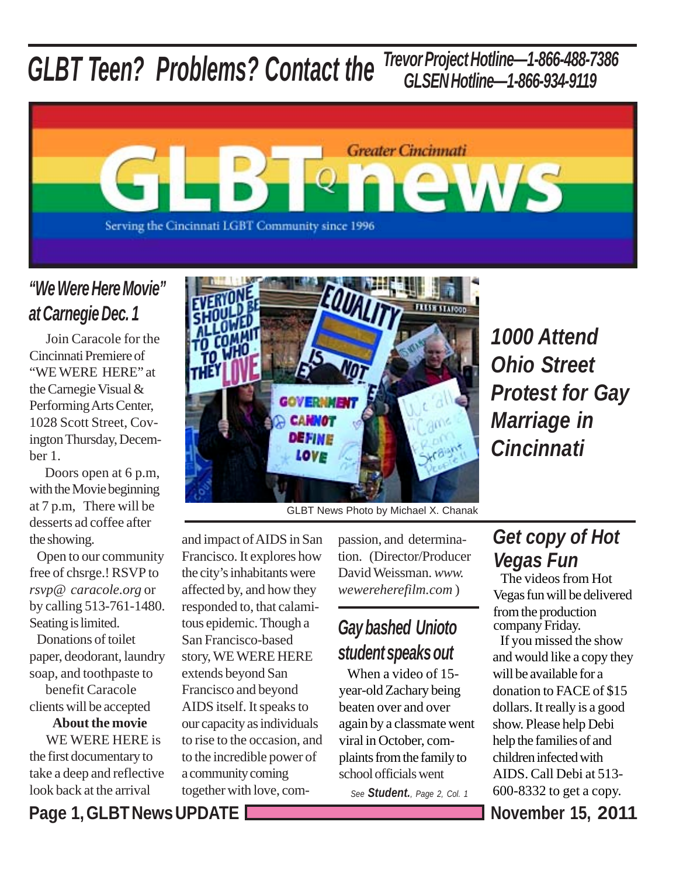#### *GLBT Teen? Problems? Contact the Trevor Project Hotline—1-866-488-7386 GLSEN Hotline—1-866-934-9119*



#### *"We Were Here Movie" at Carnegie Dec. 1*

 Join Caracole for the Cincinnati Premiere of "WE WERE HERE" at the Carnegie Visual & Performing Arts Center, 1028 Scott Street, Covington Thursday, December 1.

 Doors open at 6 p.m, with the Movie beginning at 7 p.m, There will be desserts ad coffee after the showing.

 Open to our community free of chsrge.! RSVP to *rsvp@-caracole.org* or by calling 513-761-1480. Seating is limited.

 Donations of toilet paper, deodorant, laundry soap, and toothpaste to benefit Caracole clients will be accepted

**About the movie** WE WERE HERE is

the first documentary to take a deep and reflective look back at the arrival



*1000 Attend Ohio Street Protest for Gay Marriage in Cincinnati*

GLBT News Photo by Michael X. Chanak

and impact of AIDS in San Francisco. It explores how the city's inhabitants were affected by, and how they responded to, that calamitous epidemic. Though a San Francisco-based story, WE WERE HERE extends beyond San Francisco and beyond AIDS itself. It speaks to our capacity as individuals to rise to the occasion, and to the incredible power of a community coming together with love, compassion, and determination. (Director/Producer David Weissman. *www. wewereherefilm.com* )

## *Gay bashed Unioto student speaks out*

 When a video of 15 year-old Zachary being beaten over and over again by a classmate went viral in October, complaints from the family to school officials went

*See Student., Page 2, Col. 1*

### *Get copy of Hot Vegas Fun*

 The videos from Hot Vegas fun will be delivered from the production company Friday.

 If you missed the show and would like a copy they will be available for a donation to FACE of \$15 dollars. It really is a good show. Please help Debi help the families of and children infected with AIDS. Call Debi at 513- 600-8332 to get a copy.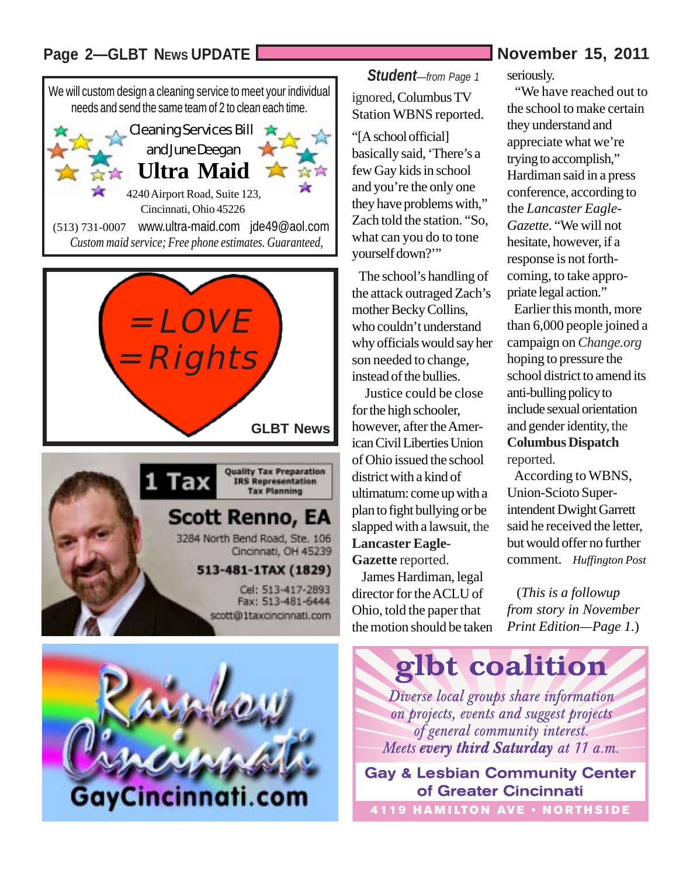#### Page 2-GLBT News UPDATE **News** UPDATE **November 15, 2011**





(513) 731-0007 www.ultra-maid.com jde49@aol.com *Custom maid service; Free phone estimates. Guaranteed,*



**Scott Renno, EA** 3284 North Bend Road, Ste. 106 Cincinnati, OH 45239

#### 513-481-1TAX (1829)

Cel: 513-417-2893 Fax: 513-481-6444 scott@1taxcincinnati.com



*Student—from Page 1* ignored, Columbus TV Station WBNS reported.

"[A school official] basically said, 'There's a few Gay kids in school and you're the only one they have problems with," Zach told the station. "So, what can you do to tone yourself down?'"

 The school's handling of the attack outraged Zach's mother Becky Collins, who couldn't understand why officials would say her son needed to change, instead of the bullies.

 Justice could be close for the high schooler, however, after the American Civil Liberties Union of Ohio issued the school district with a kind of ultimatum: come up with a plan to fight bullying or be slapped with a lawsuit, the **Lancaster Eagle-Gazette** reported.

 James Hardiman, legal director for the ACLU of Ohio, told the paper that the motion should be taken seriously.

 "We have reached out to the school to make certain they understand and appreciate what we're trying to accomplish," Hardiman said in a press conference, according to the *Lancaster Eagle-Gazette*. "We will not hesitate, however, if a response is not forthcoming, to take appropriate legal action."

 Earlier this month, more than 6,000 people joined a campaign on *Change.org* hoping to pressure the school district to amend its anti-bulling policy to include sexual orientation and gender identity, the **Columbus Dispatch** reported.

 According to WBNS, Union-Scioto Superintendent Dwight Garrett said he received the letter, but would offer no further comment. *Huffington Post*

 (*This is a followup from story in November Print Edition—Page 1.*)



**Gay & Lesbian Community Center of Greater Cincinnati**

**4119 HAMILTON AVE · NORTHSIDE**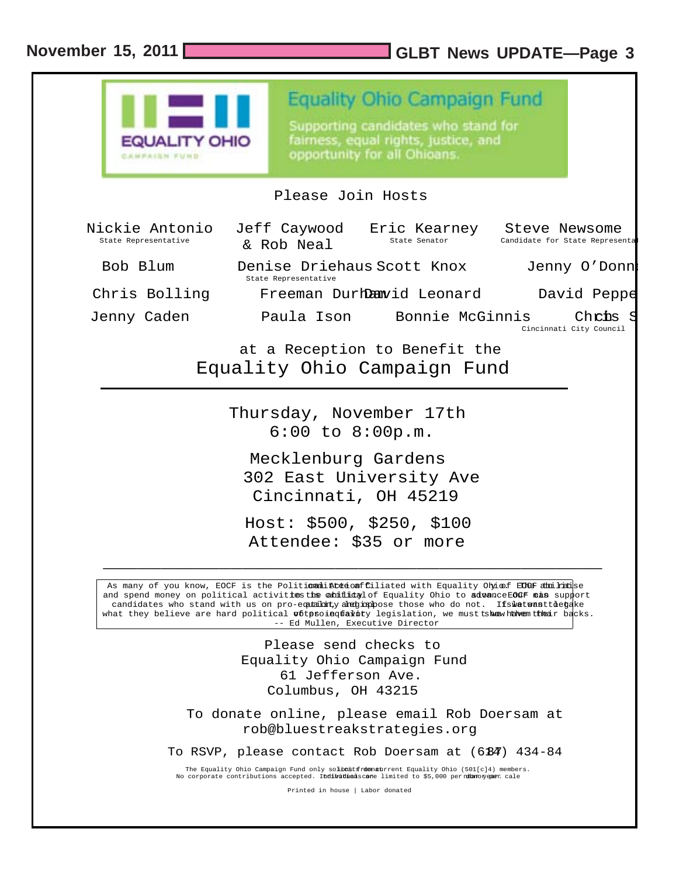#### **November 15, 2011 GLBT News UPDATE—Page 3**

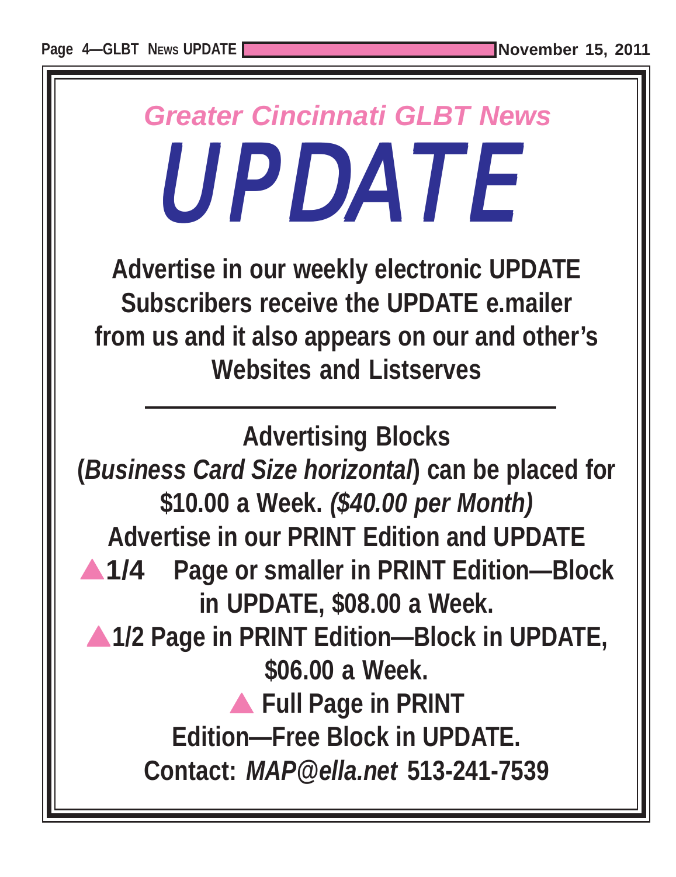